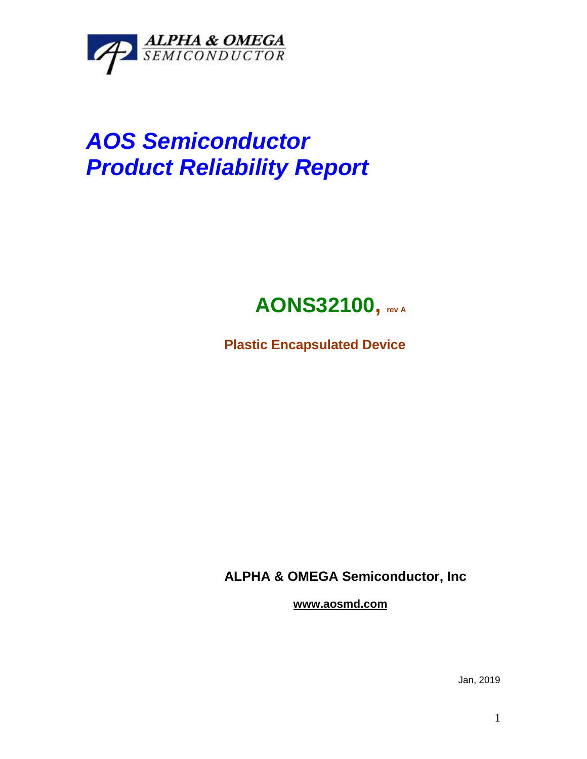

# *AOS Semiconductor Product Reliability Report*

## **AONS32100, rev <sup>A</sup>**

**Plastic Encapsulated Device**

**ALPHA & OMEGA Semiconductor, Inc**

**www.aosmd.com**

Jan, 2019